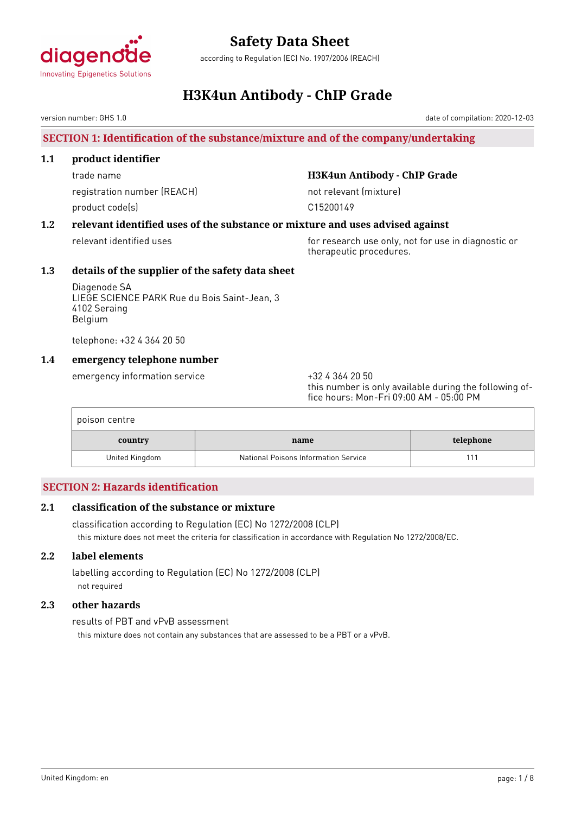

according to Regulation (EC) No. 1907/2006 (REACH)

# **H3K4un Antibody - ChIP Grade**

version number: GHS 1.0

# **SECTION 1: Identification of the substance/mixture and of the company/undertaking**

### **1.1 product identifier**

registration number (REACH) not relevant (mixture) product code(s) example to the control of the C15200149

# trade name **H3K4un Antibody - ChIP Grade**

# **1.2 relevant identified uses of the substance or mixture and uses advised against**

relevant identified uses for research use only, not for use in diagnostic or therapeutic procedures.

# **1.3 details of the supplier of the safety data sheet**

Diagenode SA LIEGE SCIENCE PARK Rue du Bois Saint-Jean, 3 4102 Seraing Belgium

telephone: +32 4 364 20 50

# **1.4 emergency telephone number**

emergency information service  $+3243642050$ 

this number is only available during the following office hours: Mon-Fri 09:00 AM - 05:00 PM

| poison centre  |                                      |           |
|----------------|--------------------------------------|-----------|
| country        | name                                 | telephone |
| United Kingdom | National Poisons Information Service |           |

# **SECTION 2: Hazards identification**

# **2.1 classification of the substance or mixture**

classification according to Regulation (EC) No 1272/2008 (CLP) this mixture does not meet the criteria for classification in accordance with Regulation No 1272/2008/EC.

# **2.2 label elements**

labelling according to Regulation (EC) No 1272/2008 (CLP) not required

# **2.3 other hazards**

results of PBT and vPvB assessment this mixture does not contain any substances that are assessed to be a PBT or a vPvB.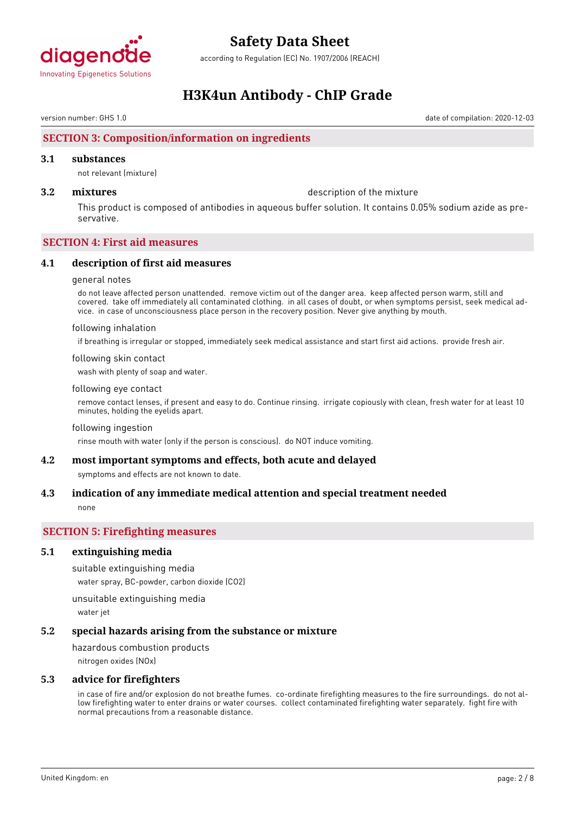

according to Regulation (EC) No. 1907/2006 (REACH)

# **H3K4un Antibody - ChIP Grade**

version number: GHS 1.0 date of compilation: 2020-12-03

# **SECTION 3: Composition/information on ingredients**

#### **3.1 substances**

not relevant (mixture)

**3.2 mixtures** description of the mixture

This product is composed of antibodies in aqueous buffer solution. It contains 0.05% sodium azide as preservative.

### **SECTION 4: First aid measures**

#### **4.1 description of first aid measures**

#### general notes

do not leave affected person unattended. remove victim out of the danger area. keep affected person warm, still and covered. take off immediately all contaminated clothing. in all cases of doubt, or when symptoms persist, seek medical advice. in case of unconsciousness place person in the recovery position. Never give anything by mouth.

#### following inhalation

if breathing is irregular or stopped, immediately seek medical assistance and start first aid actions. provide fresh air.

#### following skin contact

wash with plenty of soap and water.

#### following eye contact

remove contact lenses, if present and easy to do. Continue rinsing. irrigate copiously with clean, fresh water for at least 10 minutes, holding the eyelids apart.

#### following ingestion

rinse mouth with water (only if the person is conscious). do NOT induce vomiting.

### **4.2 most important symptoms and effects, both acute and delayed**

symptoms and effects are not known to date.

# **4.3 indication of any immediate medical attention and special treatment needed**

none

# **SECTION 5: Firefighting measures**

#### **5.1 extinguishing media**

suitable extinguishing media water spray, BC-powder, carbon dioxide (CO2)

unsuitable extinguishing media

water jet

# **5.2 special hazards arising from the substance or mixture**

hazardous combustion products nitrogen oxides (NOx)

# **5.3 advice for firefighters**

in case of fire and/or explosion do not breathe fumes. co-ordinate firefighting measures to the fire surroundings. do not allow firefighting water to enter drains or water courses. collect contaminated firefighting water separately. fight fire with normal precautions from a reasonable distance.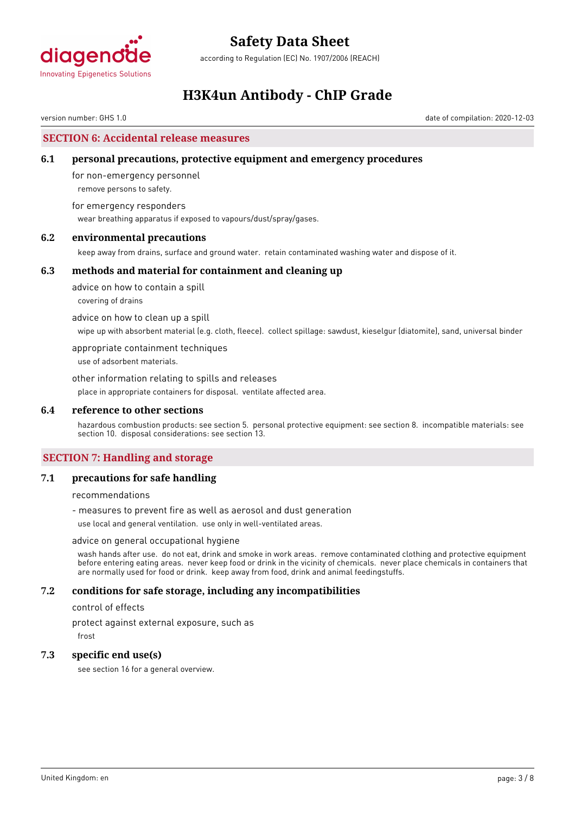

according to Regulation (EC) No. 1907/2006 (REACH)

# **H3K4un Antibody - ChIP Grade**

version number: GHS 1.0 date of compilation: 2020-12-03

# **SECTION 6: Accidental release measures**

### **6.1 personal precautions, protective equipment and emergency procedures**

for non-emergency personnel remove persons to safety.

for emergency responders wear breathing apparatus if exposed to vapours/dust/spray/gases.

### **6.2 environmental precautions**

keep away from drains, surface and ground water. retain contaminated washing water and dispose of it.

#### **6.3 methods and material for containment and cleaning up**

advice on how to contain a spill covering of drains

advice on how to clean up a spill

wipe up with absorbent material (e.g. cloth, fleece). collect spillage: sawdust, kieselgur (diatomite), sand, universal binder

appropriate containment techniques

use of adsorbent materials.

other information relating to spills and releases place in appropriate containers for disposal. ventilate affected area.

#### **6.4 reference to other sections**

hazardous combustion products: see section 5. personal protective equipment: see section 8. incompatible materials: see section 10. disposal considerations: see section 13.

# **SECTION 7: Handling and storage**

### **7.1 precautions for safe handling**

recommendations

- measures to prevent fire as well as aerosol and dust generation

use local and general ventilation. use only in well-ventilated areas.

#### advice on general occupational hygiene

wash hands after use. do not eat, drink and smoke in work areas. remove contaminated clothing and protective equipment before entering eating areas. never keep food or drink in the vicinity of chemicals. never place chemicals in containers that are normally used for food or drink. keep away from food, drink and animal feedingstuffs.

### **7.2 conditions for safe storage, including any incompatibilities**

control of effects

protect against external exposure, such as

frost

#### **7.3 specific end use(s)**

see section 16 for a general overview.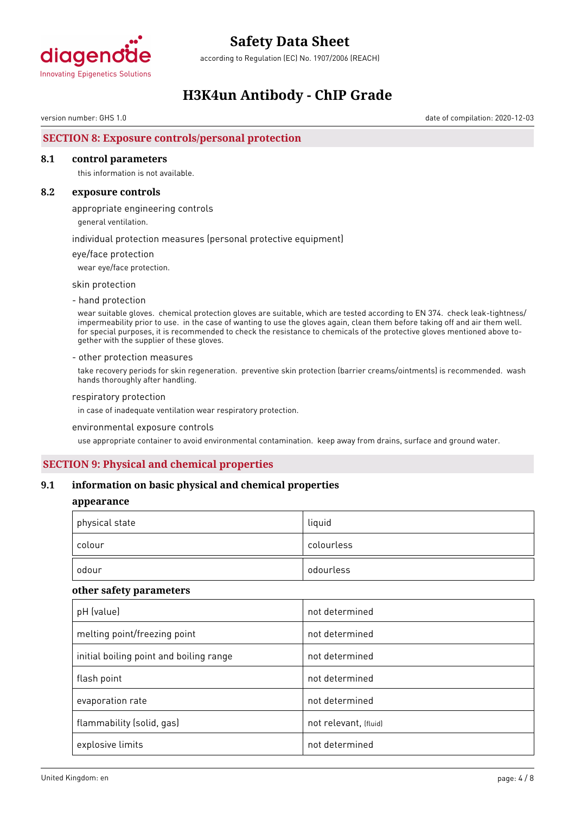

according to Regulation (EC) No. 1907/2006 (REACH)

# **H3K4un Antibody - ChIP Grade**

version number: GHS 1.0 date of compilation: 2020-12-03

# **SECTION 8: Exposure controls/personal protection**

### **8.1 control parameters**

this information is not available.

#### **8.2 exposure controls**

appropriate engineering controls

general ventilation.

individual protection measures (personal protective equipment)

#### eye/face protection

wear eye/face protection.

skin protection

- hand protection

wear suitable gloves. chemical protection gloves are suitable, which are tested according to EN 374. check leak-tightness/ impermeability prior to use. in the case of wanting to use the gloves again, clean them before taking off and air them well. for special purposes, it is recommended to check the resistance to chemicals of the protective gloves mentioned above together with the supplier of these gloves.

#### - other protection measures

take recovery periods for skin regeneration. preventive skin protection (barrier creams/ointments) is recommended. wash hands thoroughly after handling.

#### respiratory protection

in case of inadequate ventilation wear respiratory protection.

#### environmental exposure controls

use appropriate container to avoid environmental contamination. keep away from drains, surface and ground water.

# **SECTION 9: Physical and chemical properties**

#### **9.1 information on basic physical and chemical properties**

#### **appearance**

| physical state | liquid     |
|----------------|------------|
| colour         | colourless |
| odour          | odourless  |

#### **other safety parameters**

| pH (value)                              | not determined        |
|-----------------------------------------|-----------------------|
| melting point/freezing point            | not determined        |
| initial boiling point and boiling range | not determined        |
| flash point                             | not determined        |
| evaporation rate                        | not determined        |
| flammability (solid, gas)               | not relevant, (fluid) |
| explosive limits                        | not determined        |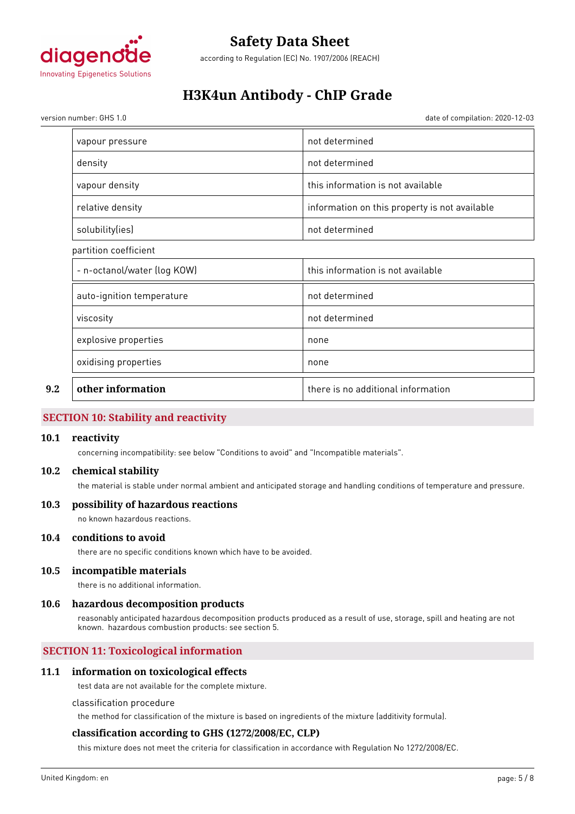

according to Regulation (EC) No. 1907/2006 (REACH)

# **H3K4un Antibody - ChIP Grade**

version number: GHS 1.0 date of compilation: 2020-12-03

|     | vapour pressure             | not determined                                |
|-----|-----------------------------|-----------------------------------------------|
|     | density                     | not determined                                |
|     | vapour density              | this information is not available             |
|     | relative density            | information on this property is not available |
|     | solubility(ies)             | not determined                                |
|     | partition coefficient       |                                               |
|     | - n-octanol/water (log KOW) | this information is not available             |
|     | auto-ignition temperature   | not determined                                |
|     | viscosity                   | not determined                                |
|     | explosive properties        | none                                          |
|     | oxidising properties        | none                                          |
| 9.2 | other information           | there is no additional information            |

# **SECTION 10: Stability and reactivity**

#### **10.1 reactivity**

concerning incompatibility: see below "Conditions to avoid" and "Incompatible materials".

#### **10.2 chemical stability**

the material is stable under normal ambient and anticipated storage and handling conditions of temperature and pressure.

# **10.3 possibility of hazardous reactions**

no known hazardous reactions.

### **10.4 conditions to avoid**

there are no specific conditions known which have to be avoided.

#### **10.5 incompatible materials**

there is no additional information.

#### **10.6 hazardous decomposition products**

reasonably anticipated hazardous decomposition products produced as a result of use, storage, spill and heating are not known. hazardous combustion products: see section 5.

# **SECTION 11: Toxicological information**

### **11.1 information on toxicological effects**

test data are not available for the complete mixture.

#### classification procedure

the method for classification of the mixture is based on ingredients of the mixture (additivity formula).

# **classification according to GHS (1272/2008/EC, CLP)**

this mixture does not meet the criteria for classification in accordance with Regulation No 1272/2008/EC.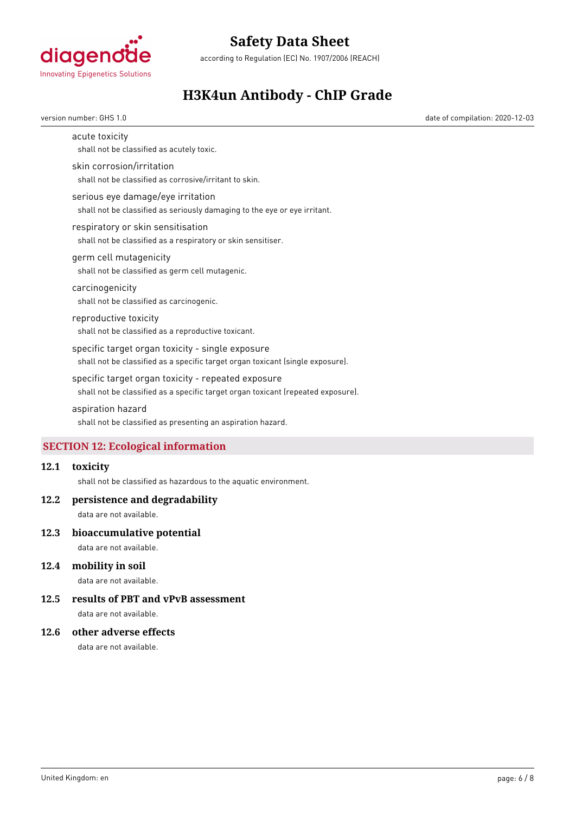

according to Regulation (EC) No. 1907/2006 (REACH)

# **H3K4un Antibody - ChIP Grade**

version number: GHS 1.0 date of compilation: 2020-12-03

acute toxicity

shall not be classified as acutely toxic.

#### skin corrosion/irritation

shall not be classified as corrosive/irritant to skin.

#### serious eye damage/eye irritation

shall not be classified as seriously damaging to the eye or eye irritant.

#### respiratory or skin sensitisation

shall not be classified as a respiratory or skin sensitiser.

#### germ cell mutagenicity

shall not be classified as germ cell mutagenic.

### carcinogenicity

shall not be classified as carcinogenic.

# reproductive toxicity

shall not be classified as a reproductive toxicant.

#### specific target organ toxicity - single exposure

shall not be classified as a specific target organ toxicant (single exposure).

#### specific target organ toxicity - repeated exposure

shall not be classified as a specific target organ toxicant (repeated exposure).

#### aspiration hazard

shall not be classified as presenting an aspiration hazard.

# **SECTION 12: Ecological information**

#### **12.1 toxicity**

shall not be classified as hazardous to the aquatic environment.

#### **12.2 persistence and degradability**

data are not available.

#### **12.3 bioaccumulative potential**

data are not available.

# **12.4 mobility in soil**

data are not available.

# **12.5 results of PBT and vPvB assessment**

data are not available.

### **12.6 other adverse effects**

data are not available.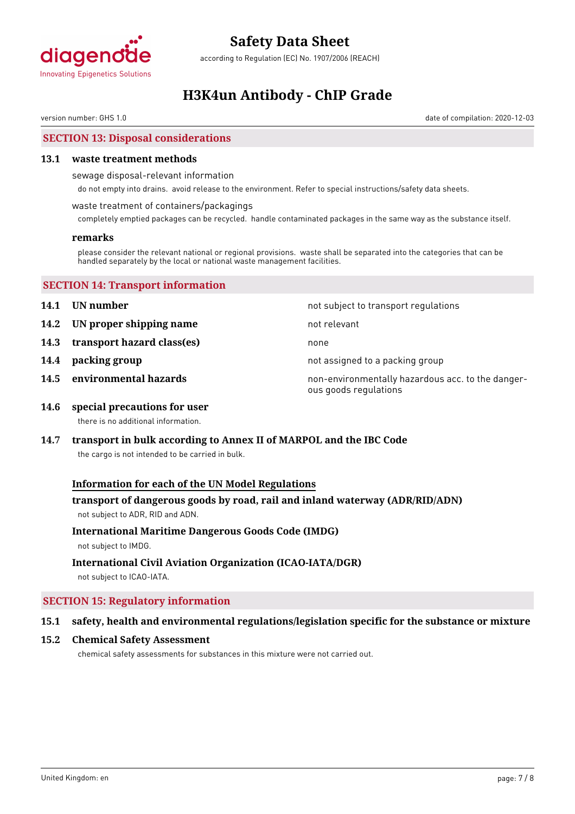

according to Regulation (EC) No. 1907/2006 (REACH)

# **H3K4un Antibody - ChIP Grade**

version number: GHS 1.0 date of compilation: 2020-12-03

# **SECTION 13: Disposal considerations**

#### **13.1 waste treatment methods**

sewage disposal-relevant information

do not empty into drains. avoid release to the environment. Refer to special instructions/safety data sheets.

waste treatment of containers/packagings

completely emptied packages can be recycled. handle contaminated packages in the same way as the substance itself.

#### **remarks**

please consider the relevant national or regional provisions. waste shall be separated into the categories that can be handled separately by the local or national waste management facilities.

### **SECTION 14: Transport information**

- 
- **14.2 UN proper shipping name** not relevant
- **14.3 transport hazard class(es)** none
- 
- 

**14.1 UN number 14.1 UN** number

- 
- 
- **14.4 packing group 14.4 packing group not assigned to a packing group**
- **14.5 environmental hazards non-environmentally hazardous acc. to the danger**ous goods regulations
- **14.6 special precautions for user** there is no additional information.
- **14.7 transport in bulk according to Annex II of MARPOL and the IBC Code**

the cargo is not intended to be carried in bulk.

# **Information for each of the UN Model Regulations**

# **transport of dangerous goods by road, rail and inland waterway (ADR/RID/ADN)** not subject to ADR, RID and ADN.

# **International Maritime Dangerous Goods Code (IMDG)**

not subject to IMDG.

# **International Civil Aviation Organization (ICAO-IATA/DGR)**

not subject to ICAO-IATA.

# **SECTION 15: Regulatory information**

# **15.1 safety, health and environmental regulations/legislation specific for the substance or mixture**

#### **15.2 Chemical Safety Assessment**

chemical safety assessments for substances in this mixture were not carried out.